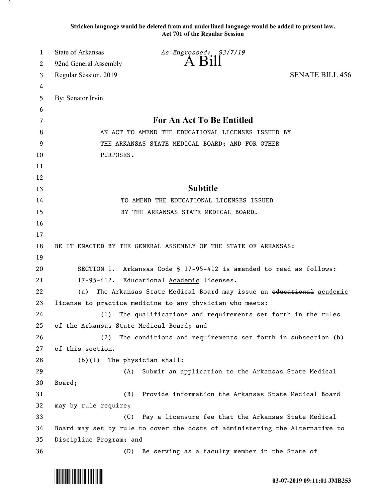**Stricken language would be deleted from and underlined language would be added to present law. Act 701 of the Regular Session**

| 1  | State of Arkansas<br>As Engrossed: S3/7/19                                   |  |
|----|------------------------------------------------------------------------------|--|
| 2  | A Bill<br>92nd General Assembly                                              |  |
| 3  | <b>SENATE BILL 456</b><br>Regular Session, 2019                              |  |
| 4  |                                                                              |  |
| 5  | By: Senator Irvin                                                            |  |
| 6  |                                                                              |  |
| 7  | For An Act To Be Entitled                                                    |  |
| 8  | AN ACT TO AMEND THE EDUCATIONAL LICENSES ISSUED BY                           |  |
| 9  | THE ARKANSAS STATE MEDICAL BOARD; AND FOR OTHER                              |  |
| 10 | PURPOSES.                                                                    |  |
| 11 |                                                                              |  |
| 12 |                                                                              |  |
| 13 | <b>Subtitle</b>                                                              |  |
| 14 | TO AMEND THE EDUCATIONAL LICENSES ISSUED                                     |  |
| 15 | BY THE ARKANSAS STATE MEDICAL BOARD.                                         |  |
| 16 |                                                                              |  |
| 17 |                                                                              |  |
| 18 | BE IT ENACTED BY THE GENERAL ASSEMBLY OF THE STATE OF ARKANSAS:              |  |
| 19 |                                                                              |  |
| 20 | SECTION 1. Arkansas Code § 17-95-412 is amended to read as follows:          |  |
| 21 | 17-95-412. Educational Academic licenses.                                    |  |
| 22 | The Arkansas State Medical Board may issue an educational academic<br>(a)    |  |
| 23 | license to practice medicine to any physician who meets:                     |  |
| 24 | The qualifications and requirements set forth in the rules<br>(1)            |  |
| 25 | of the Arkansas State Medical Board; and                                     |  |
| 26 | The conditions and requirements set forth in subsection (b)<br>(2)           |  |
| 27 | of this section.                                                             |  |
| 28 | The physician shall:<br>(b)(1)                                               |  |
| 29 | Submit an application to the Arkansas State Medical<br>(A)                   |  |
| 30 | Board;                                                                       |  |
| 31 | Provide information the Arkansas State Medical Board<br>(B)                  |  |
| 32 | may by rule require;                                                         |  |
| 33 | Pay a licensure fee that the Arkansas State Medical<br>(C)                   |  |
| 34 | Board may set by rule to cover the costs of administering the Alternative to |  |
| 35 | Discipline Program; and                                                      |  |
| 36 | Be serving as a faculty member in the State of<br>(D)                        |  |